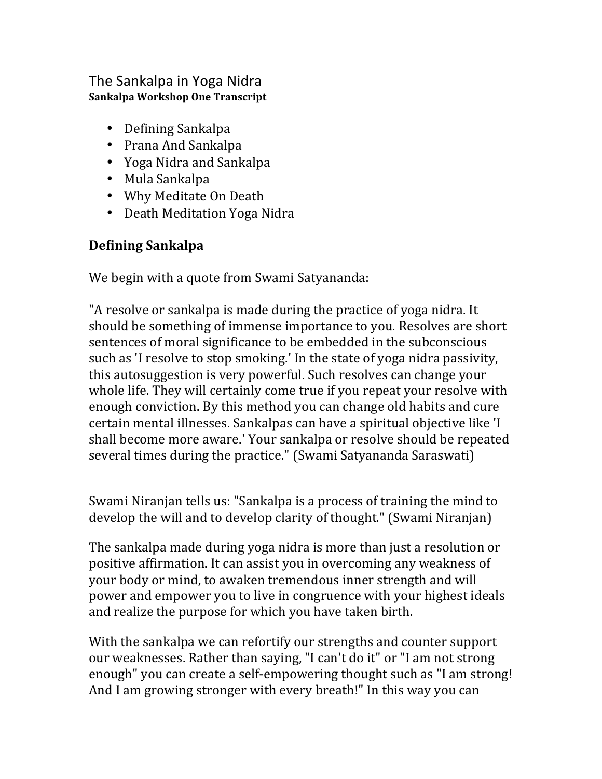#### The Sankalpa in Yoga Nidra **Sankalpa Workshop One Transcript**

- Defining Sankalpa
- Prana And Sankalpa
- Yoga Nidra and Sankalpa
- Mula Sankalpa
- Why Meditate On Death
- Death Meditation Yoga Nidra

## **Defining Sankalpa**

We begin with a quote from Swami Satyananda:

"A resolve or sankalpa is made during the practice of yoga nidra. It should be something of immense importance to you. Resolves are short sentences of moral significance to be embedded in the subconscious such as 'I resolve to stop smoking.' In the state of yoga nidra passivity, this autosuggestion is very powerful. Such resolves can change your whole life. They will certainly come true if you repeat your resolve with enough conviction. By this method you can change old habits and cure certain mental illnesses. Sankalpas can have a spiritual objective like 'I shall become more aware.' Your sankalpa or resolve should be repeated several times during the practice." (Swami Satyananda Saraswati)

Swami Niranjan tells us: "Sankalpa is a process of training the mind to develop the will and to develop clarity of thought." (Swami Niranjan)

The sankalpa made during yoga nidra is more than just a resolution or positive affirmation. It can assist you in overcoming any weakness of your body or mind, to awaken tremendous inner strength and will power and empower you to live in congruence with your highest ideals and realize the purpose for which you have taken birth.

With the sankalpa we can refortify our strengths and counter support our weaknesses. Rather than saying, "I can't do it" or "I am not strong enough" you can create a self-empowering thought such as "I am strong! And I am growing stronger with every breath!" In this way you can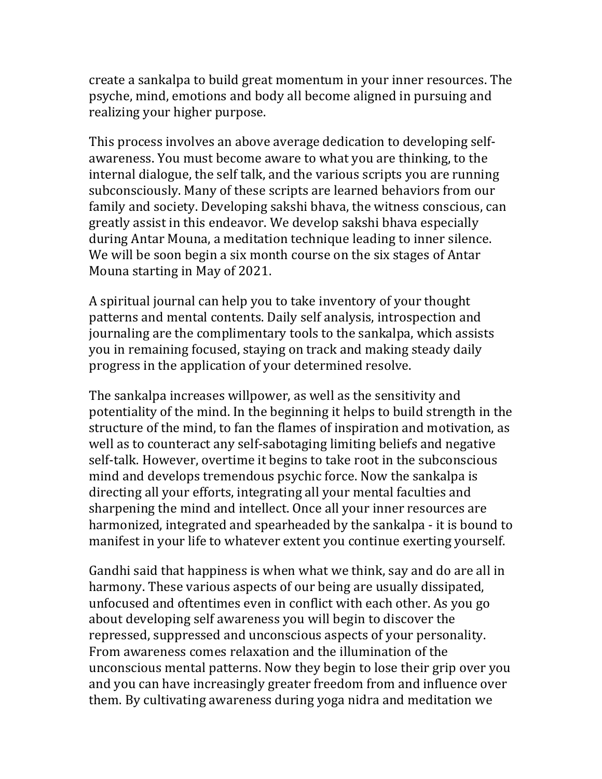create a sankalpa to build great momentum in your inner resources. The psyche, mind, emotions and body all become aligned in pursuing and realizing your higher purpose.

This process involves an above average dedication to developing selfawareness. You must become aware to what you are thinking, to the internal dialogue, the self talk, and the various scripts you are running subconsciously. Many of these scripts are learned behaviors from our family and society. Developing sakshi bhava, the witness conscious, can greatly assist in this endeavor. We develop sakshi bhava especially during Antar Mouna, a meditation technique leading to inner silence. We will be soon begin a six month course on the six stages of Antar Mouna starting in May of 2021.

A spiritual journal can help you to take inventory of your thought patterns and mental contents. Daily self analysis, introspection and journaling are the complimentary tools to the sankalpa, which assists you in remaining focused, staying on track and making steady daily progress in the application of your determined resolve.

The sankalpa increases willpower, as well as the sensitivity and potentiality of the mind. In the beginning it helps to build strength in the structure of the mind, to fan the flames of inspiration and motivation, as well as to counteract any self-sabotaging limiting beliefs and negative self-talk. However, overtime it begins to take root in the subconscious mind and develops tremendous psychic force. Now the sankalpa is directing all your efforts, integrating all your mental faculties and sharpening the mind and intellect. Once all your inner resources are harmonized, integrated and spearheaded by the sankalpa - it is bound to manifest in your life to whatever extent you continue exerting yourself.

Gandhi said that happiness is when what we think, say and do are all in harmony. These various aspects of our being are usually dissipated, unfocused and oftentimes even in conflict with each other. As you go about developing self awareness you will begin to discover the repressed, suppressed and unconscious aspects of your personality. From awareness comes relaxation and the illumination of the unconscious mental patterns. Now they begin to lose their grip over you and you can have increasingly greater freedom from and influence over them. By cultivating awareness during yoga nidra and meditation we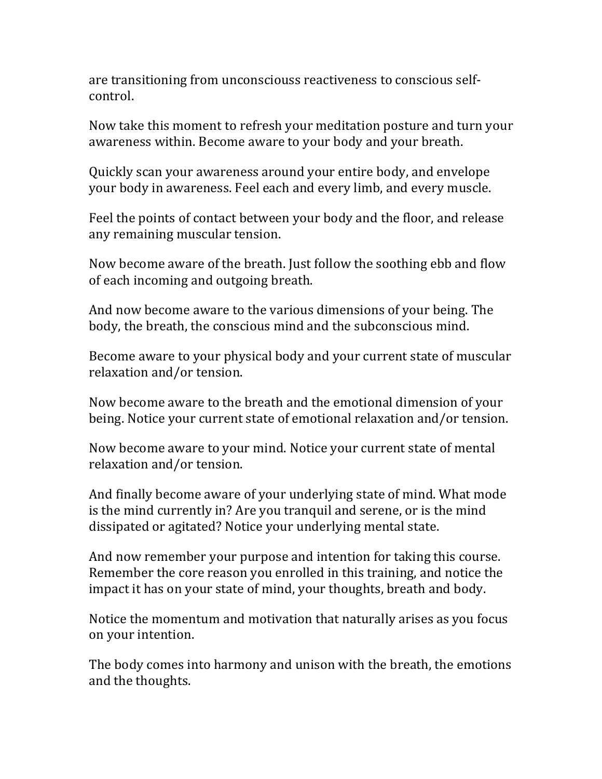are transitioning from unconsciouss reactiveness to conscious selfcontrol.

Now take this moment to refresh your meditation posture and turn your awareness within. Become aware to your body and your breath.

Quickly scan your awareness around your entire body, and envelope your body in awareness. Feel each and every limb, and every muscle.

Feel the points of contact between your body and the floor, and release any remaining muscular tension.

Now become aware of the breath. Just follow the soothing ebb and flow of each incoming and outgoing breath.

And now become aware to the various dimensions of your being. The body, the breath, the conscious mind and the subconscious mind.

Become aware to your physical body and your current state of muscular relaxation and/or tension.

Now become aware to the breath and the emotional dimension of your being. Notice your current state of emotional relaxation and/or tension.

Now become aware to your mind. Notice your current state of mental relaxation and/or tension.

And finally become aware of your underlying state of mind. What mode is the mind currently in? Are you tranquil and serene, or is the mind dissipated or agitated? Notice your underlying mental state.

And now remember your purpose and intention for taking this course. Remember the core reason you enrolled in this training, and notice the impact it has on your state of mind, your thoughts, breath and body.

Notice the momentum and motivation that naturally arises as you focus on your intention.

The body comes into harmony and unison with the breath, the emotions and the thoughts.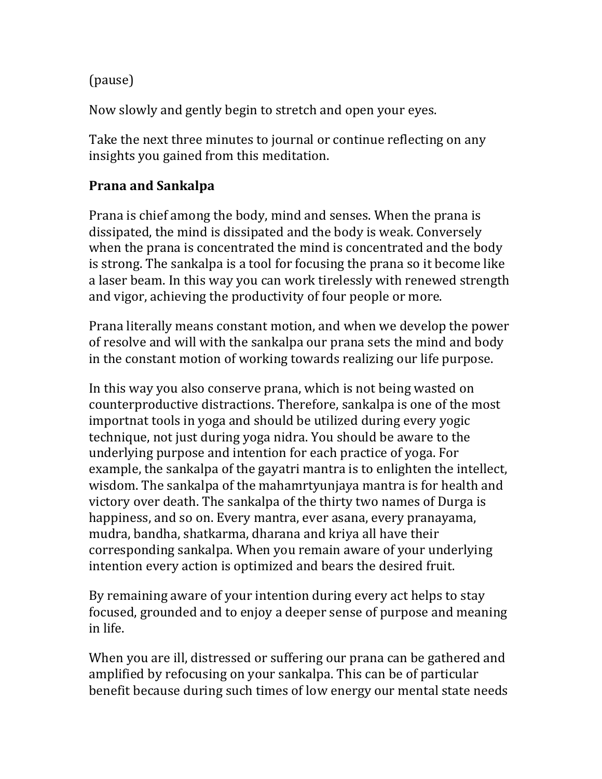(pause)

Now slowly and gently begin to stretch and open your eyes.

Take the next three minutes to journal or continue reflecting on any insights you gained from this meditation.

### **Prana and Sankalpa**

Prana is chief among the body, mind and senses. When the prana is dissipated, the mind is dissipated and the body is weak. Conversely when the prana is concentrated the mind is concentrated and the body is strong. The sankalpa is a tool for focusing the prana so it become like a laser beam. In this way you can work tirelessly with renewed strength and vigor, achieving the productivity of four people or more.

Prana literally means constant motion, and when we develop the power of resolve and will with the sankalpa our prana sets the mind and body in the constant motion of working towards realizing our life purpose.

In this way you also conserve prana, which is not being wasted on counterproductive distractions. Therefore, sankalpa is one of the most importnat tools in yoga and should be utilized during every yogic technique, not just during yoga nidra. You should be aware to the underlying purpose and intention for each practice of yoga. For example, the sankalpa of the gayatri mantra is to enlighten the intellect, wisdom. The sankalpa of the mahamrtyunjaya mantra is for health and victory over death. The sankalpa of the thirty two names of Durga is happiness, and so on. Every mantra, ever asana, every pranayama, mudra, bandha, shatkarma, dharana and kriya all have their corresponding sankalpa. When you remain aware of your underlying intention every action is optimized and bears the desired fruit.

By remaining aware of your intention during every act helps to stay focused, grounded and to enjoy a deeper sense of purpose and meaning in life.

When you are ill, distressed or suffering our prana can be gathered and amplified by refocusing on your sankalpa. This can be of particular benefit because during such times of low energy our mental state needs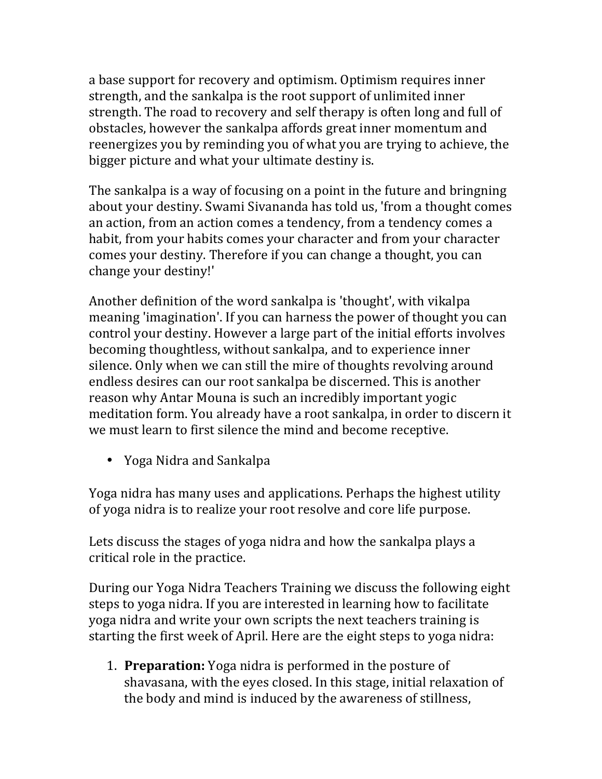a base support for recovery and optimism. Optimism requires inner strength, and the sankalpa is the root support of unlimited inner strength. The road to recovery and self therapy is often long and full of obstacles, however the sankalpa affords great inner momentum and reenergizes you by reminding you of what you are trying to achieve, the bigger picture and what your ultimate destiny is.

The sankalpa is a way of focusing on a point in the future and bringning about your destiny. Swami Sivananda has told us, 'from a thought comes an action, from an action comes a tendency, from a tendency comes a habit, from your habits comes your character and from your character comes your destiny. Therefore if you can change a thought, you can change your destiny!'

Another definition of the word sankalpa is 'thought', with vikalpa meaning 'imagination'. If you can harness the power of thought you can control your destiny. However a large part of the initial efforts involves becoming thoughtless, without sankalpa, and to experience inner silence. Only when we can still the mire of thoughts revolving around endless desires can our root sankalpa be discerned. This is another reason why Antar Mouna is such an incredibly important yogic meditation form. You already have a root sankalpa, in order to discern it we must learn to first silence the mind and become receptive.

• Yoga Nidra and Sankalpa

Yoga nidra has many uses and applications. Perhaps the highest utility of yoga nidra is to realize your root resolve and core life purpose.

Lets discuss the stages of yoga nidra and how the sankalpa plays a critical role in the practice.

During our Yoga Nidra Teachers Training we discuss the following eight steps to yoga nidra. If you are interested in learning how to facilitate yoga nidra and write your own scripts the next teachers training is starting the first week of April. Here are the eight steps to yoga nidra:

1. **Preparation:** Yoga nidra is performed in the posture of shavasana, with the eyes closed. In this stage, initial relaxation of the body and mind is induced by the awareness of stillness,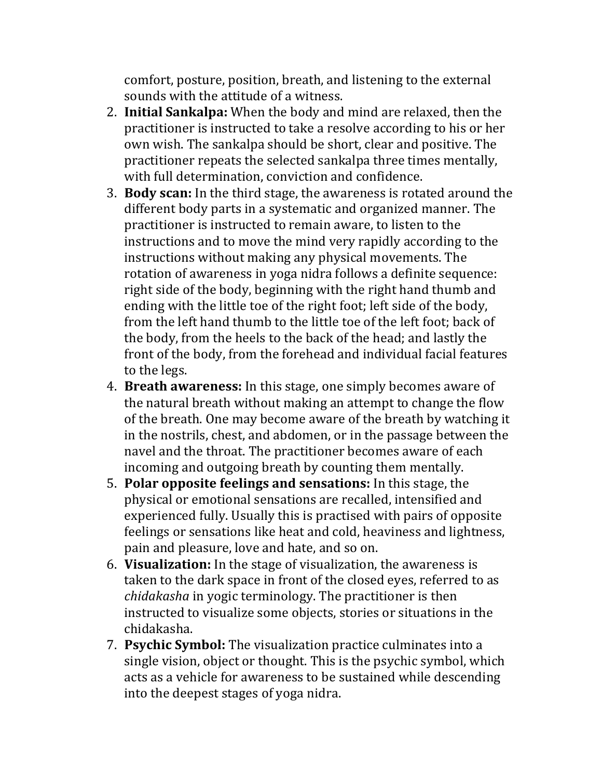comfort, posture, position, breath, and listening to the external sounds with the attitude of a witness.

- 2. **Initial Sankalpa:** When the body and mind are relaxed, then the practitioner is instructed to take a resolve according to his or her own wish. The sankalpa should be short, clear and positive. The practitioner repeats the selected sankalpa three times mentally, with full determination, conviction and confidence.
- 3. **Body scan:** In the third stage, the awareness is rotated around the different body parts in a systematic and organized manner. The practitioner is instructed to remain aware, to listen to the instructions and to move the mind very rapidly according to the instructions without making any physical movements. The rotation of awareness in yoga nidra follows a definite sequence: right side of the body, beginning with the right hand thumb and ending with the little toe of the right foot; left side of the body, from the left hand thumb to the little toe of the left foot; back of the body, from the heels to the back of the head; and lastly the front of the body, from the forehead and individual facial features to the legs.
- 4. **Breath awareness:** In this stage, one simply becomes aware of the natural breath without making an attempt to change the flow of the breath. One may become aware of the breath by watching it in the nostrils, chest, and abdomen, or in the passage between the navel and the throat. The practitioner becomes aware of each incoming and outgoing breath by counting them mentally.
- 5. **Polar opposite feelings and sensations:** In this stage, the physical or emotional sensations are recalled, intensified and experienced fully. Usually this is practised with pairs of opposite feelings or sensations like heat and cold, heaviness and lightness, pain and pleasure, love and hate, and so on.
- 6. **Visualization:** In the stage of visualization, the awareness is taken to the dark space in front of the closed eyes, referred to as *chidakasha* in yogic terminology. The practitioner is then instructed to visualize some objects, stories or situations in the chidakasha.
- **7. Psychic Symbol:** The visualization practice culminates into a single vision, object or thought. This is the psychic symbol, which acts as a vehicle for awareness to be sustained while descending into the deepest stages of yoga nidra.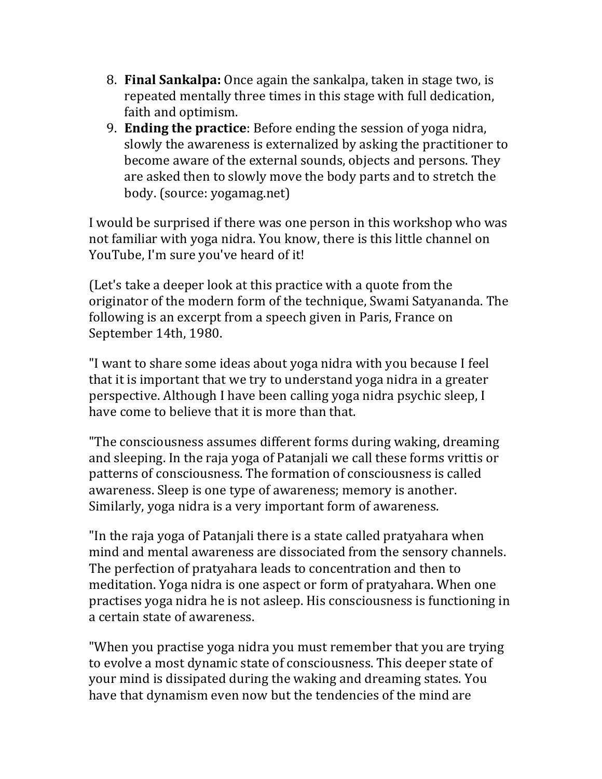- 8. **Final Sankalpa:** Once again the sankalpa, taken in stage two, is repeated mentally three times in this stage with full dedication, faith and optimism.
- 9. **Ending the practice**: Before ending the session of yoga nidra, slowly the awareness is externalized by asking the practitioner to become aware of the external sounds, objects and persons. They are asked then to slowly move the body parts and to stretch the body. (source: yogamag.net)

I would be surprised if there was one person in this workshop who was not familiar with yoga nidra. You know, there is this little channel on YouTube, I'm sure you've heard of it!

(Let's take a deeper look at this practice with a quote from the originator of the modern form of the technique, Swami Satyananda. The following is an excerpt from a speech given in Paris, France on September 14th, 1980.

"I want to share some ideas about yoga nidra with you because I feel that it is important that we try to understand yoga nidra in a greater perspective. Although I have been calling yoga nidra psychic sleep. I have come to believe that it is more than that.

"The consciousness assumes different forms during waking, dreaming and sleeping. In the raja yoga of Patanjali we call these forms vrittis or patterns of consciousness. The formation of consciousness is called awareness. Sleep is one type of awareness; memory is another. Similarly, yoga nidra is a very important form of awareness.

"In the raja yoga of Patanjali there is a state called pratyahara when mind and mental awareness are dissociated from the sensory channels. The perfection of pratyahara leads to concentration and then to meditation. Yoga nidra is one aspect or form of pratyahara. When one practises yoga nidra he is not asleep. His consciousness is functioning in a certain state of awareness.

"When you practise yoga nidra you must remember that you are trying to evolve a most dynamic state of consciousness. This deeper state of your mind is dissipated during the waking and dreaming states. You have that dynamism even now but the tendencies of the mind are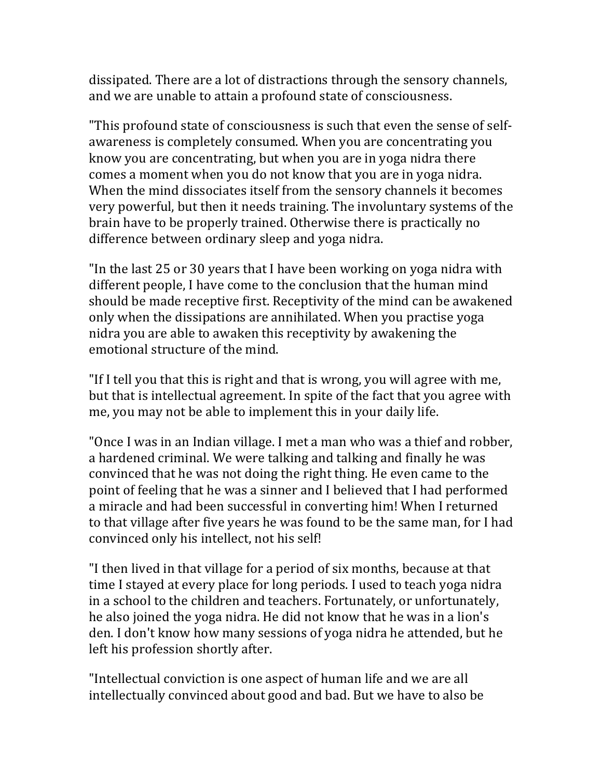dissipated. There are a lot of distractions through the sensory channels, and we are unable to attain a profound state of consciousness.

"This profound state of consciousness is such that even the sense of selfawareness is completely consumed. When you are concentrating you know you are concentrating, but when you are in yoga nidra there comes a moment when you do not know that you are in yoga nidra. When the mind dissociates itself from the sensory channels it becomes very powerful, but then it needs training. The involuntary systems of the brain have to be properly trained. Otherwise there is practically no difference between ordinary sleep and yoga nidra.

"In the last 25 or 30 years that I have been working on yoga nidra with different people. I have come to the conclusion that the human mind should be made receptive first. Receptivity of the mind can be awakened only when the dissipations are annihilated. When you practise yoga nidra you are able to awaken this receptivity by awakening the emotional structure of the mind.

"If I tell you that this is right and that is wrong, you will agree with me, but that is intellectual agreement. In spite of the fact that you agree with me, you may not be able to implement this in your daily life.

"Once I was in an Indian village. I met a man who was a thief and robber, a hardened criminal. We were talking and talking and finally he was convinced that he was not doing the right thing. He even came to the point of feeling that he was a sinner and I believed that I had performed a miracle and had been successful in converting him! When I returned to that village after five years he was found to be the same man, for I had convinced only his intellect, not his self!

"I then lived in that village for a period of six months, because at that time I stayed at every place for long periods. I used to teach yoga nidra in a school to the children and teachers. Fortunately, or unfortunately, he also joined the yoga nidra. He did not know that he was in a lion's den. I don't know how many sessions of yoga nidra he attended, but he left his profession shortly after.

"Intellectual conviction is one aspect of human life and we are all intellectually convinced about good and bad. But we have to also be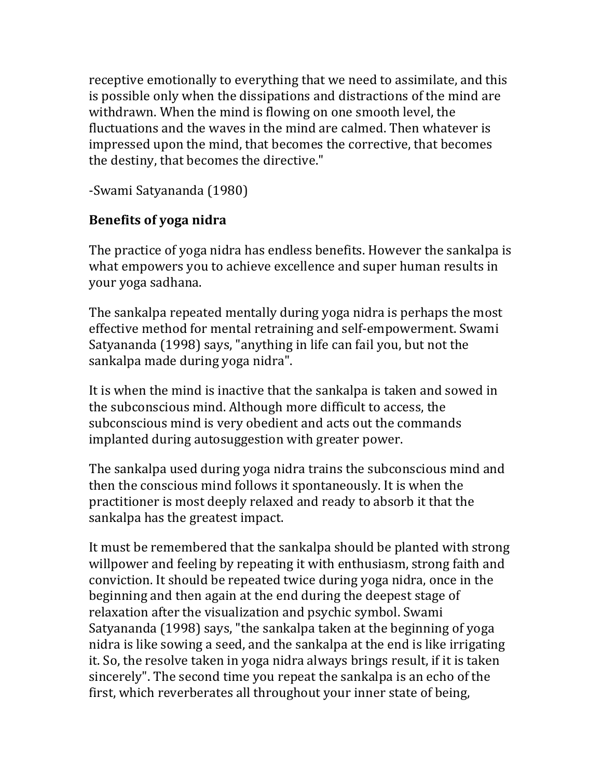receptive emotionally to everything that we need to assimilate, and this is possible only when the dissipations and distractions of the mind are withdrawn. When the mind is flowing on one smooth level, the fluctuations and the waves in the mind are calmed. Then whatever is impressed upon the mind, that becomes the corrective, that becomes the destiny, that becomes the directive."

-Swami Satyananda (1980)

# **Benefits of yoga nidra**

The practice of yoga nidra has endless benefits. However the sankalpa is what empowers you to achieve excellence and super human results in your yoga sadhana.

The sankalpa repeated mentally during yoga nidra is perhaps the most effective method for mental retraining and self-empowerment. Swami Satyananda (1998) says, "anything in life can fail you, but not the sankalpa made during yoga nidra".

It is when the mind is inactive that the sankalpa is taken and sowed in the subconscious mind. Although more difficult to access, the subconscious mind is very obedient and acts out the commands implanted during autosuggestion with greater power.

The sankalpa used during yoga nidra trains the subconscious mind and then the conscious mind follows it spontaneously. It is when the practitioner is most deeply relaxed and ready to absorb it that the sankalpa has the greatest impact.

It must be remembered that the sankalpa should be planted with strong willpower and feeling by repeating it with enthusiasm, strong faith and conviction. It should be repeated twice during yoga nidra, once in the beginning and then again at the end during the deepest stage of relaxation after the visualization and psychic symbol. Swami Satyananda (1998) says, "the sankalpa taken at the beginning of yoga nidra is like sowing a seed, and the sankalpa at the end is like irrigating it. So, the resolve taken in yoga nidra always brings result, if it is taken sincerely". The second time you repeat the sankalpa is an echo of the first, which reverberates all throughout your inner state of being.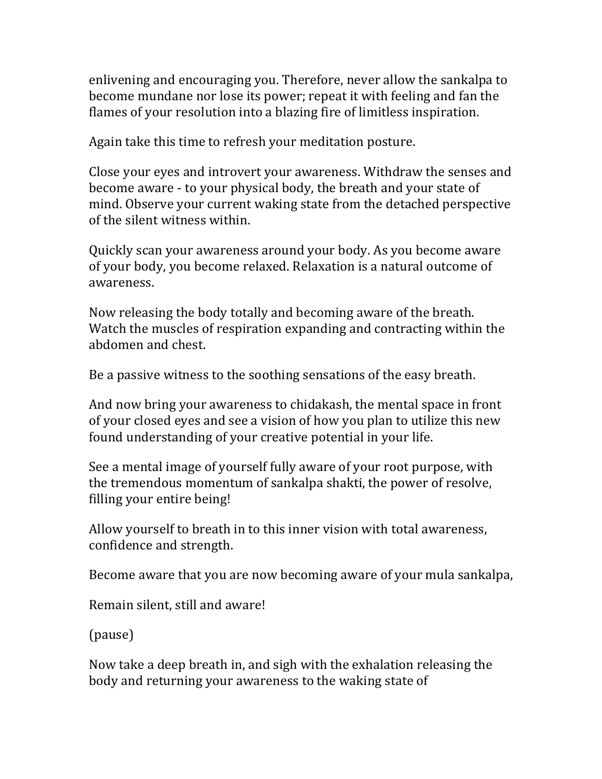enlivening and encouraging you. Therefore, never allow the sankalpa to become mundane nor lose its power; repeat it with feeling and fan the flames of your resolution into a blazing fire of limitless inspiration.

Again take this time to refresh your meditation posture.

Close your eyes and introvert your awareness. Withdraw the senses and become aware - to your physical body, the breath and your state of mind. Observe your current waking state from the detached perspective of the silent witness within.

Quickly scan your awareness around your body. As you become aware of your body, you become relaxed. Relaxation is a natural outcome of awareness.

Now releasing the body totally and becoming aware of the breath. Watch the muscles of respiration expanding and contracting within the abdomen and chest.

Be a passive witness to the soothing sensations of the easy breath.

And now bring your awareness to chidakash, the mental space in front of your closed eyes and see a vision of how you plan to utilize this new found understanding of your creative potential in your life.

See a mental image of yourself fully aware of your root purpose, with the tremendous momentum of sankalpa shakti, the power of resolve, filling your entire being!

Allow yourself to breath in to this inner vision with total awareness, confidence and strength.

Become aware that you are now becoming aware of your mula sankalpa,

Remain silent, still and aware!

(pause)

Now take a deep breath in, and sigh with the exhalation releasing the body and returning your awareness to the waking state of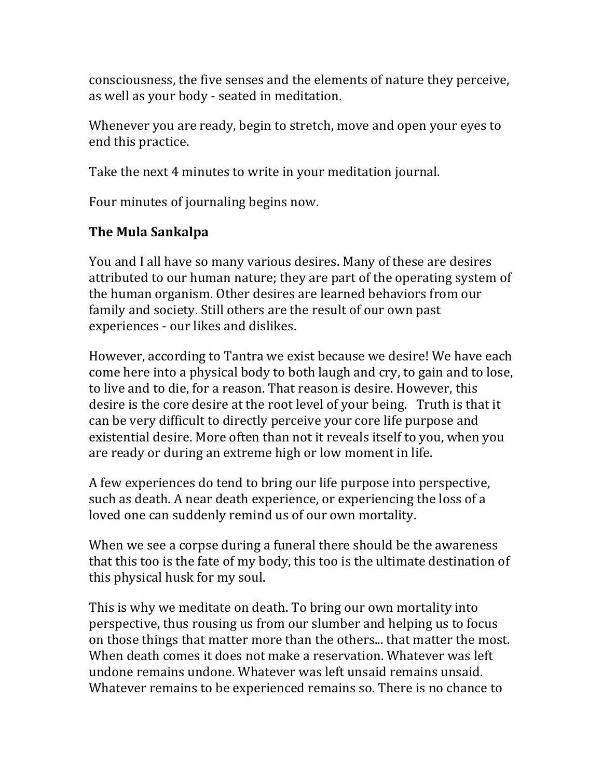consciousness, the five senses and the elements of nature they perceive, as well as your body - seated in meditation.

Whenever you are ready, begin to stretch, move and open your eyes to end this practice.

Take the next 4 minutes to write in your meditation journal.

Four minutes of journaling begins now.

# **The Mula Sankalpa**

You and I all have so many various desires. Many of these are desires attributed to our human nature; they are part of the operating system of the human organism. Other desires are learned behaviors from our family and society. Still others are the result of our own past experiences - our likes and dislikes.

However, according to Tantra we exist because we desire! We have each come here into a physical body to both laugh and cry, to gain and to lose, to live and to die, for a reason. That reason is desire. However, this desire is the core desire at the root level of your being. Truth is that it can be very difficult to directly perceive your core life purpose and existential desire. More often than not it reveals itself to you, when you are ready or during an extreme high or low moment in life.

A few experiences do tend to bring our life purpose into perspective, such as death. A near death experience, or experiencing the loss of a loved one can suddenly remind us of our own mortality.

When we see a corpse during a funeral there should be the awareness that this too is the fate of my body, this too is the ultimate destination of this physical husk for my soul.

This is why we meditate on death. To bring our own mortality into perspective, thus rousing us from our slumber and helping us to focus on those things that matter more than the others... that matter the most. When death comes it does not make a reservation. Whatever was left undone remains undone. Whatever was left unsaid remains unsaid. Whatever remains to be experienced remains so. There is no chance to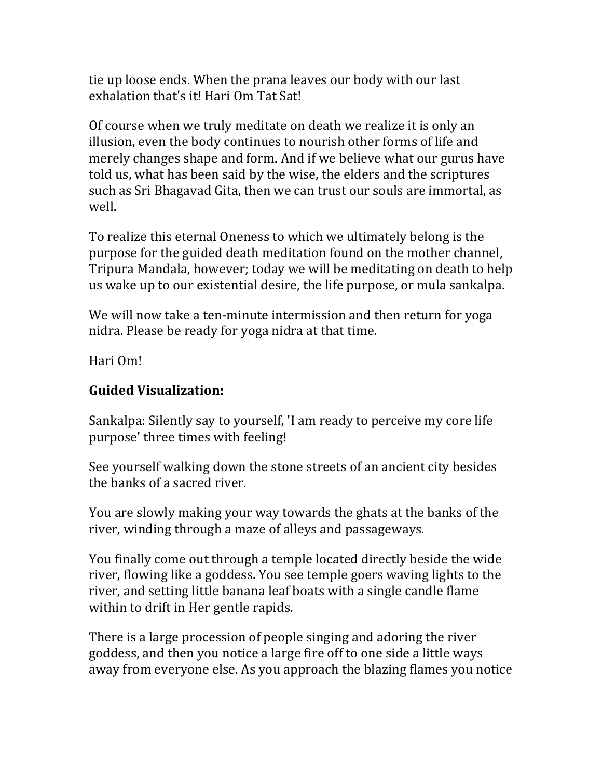tie up loose ends. When the prana leaves our body with our last exhalation that's it! Hari Om Tat Sat!

Of course when we truly meditate on death we realize it is only an illusion, even the body continues to nourish other forms of life and merely changes shape and form. And if we believe what our gurus have told us, what has been said by the wise, the elders and the scriptures such as Sri Bhagavad Gita, then we can trust our souls are immortal, as well.

To realize this eternal Oneness to which we ultimately belong is the purpose for the guided death meditation found on the mother channel, Tripura Mandala, however; today we will be meditating on death to help us wake up to our existential desire, the life purpose, or mula sankalpa.

We will now take a ten-minute intermission and then return for yoga nidra. Please be ready for yoga nidra at that time.

Hari Om!

#### **Guided Visualization:**

Sankalpa: Silently say to yourself, 'I am ready to perceive my core life purpose' three times with feeling!

See yourself walking down the stone streets of an ancient city besides the banks of a sacred river.

You are slowly making your way towards the ghats at the banks of the river, winding through a maze of alleys and passageways.

You finally come out through a temple located directly beside the wide river, flowing like a goddess. You see temple goers waving lights to the river, and setting little banana leaf boats with a single candle flame within to drift in Her gentle rapids.

There is a large procession of people singing and adoring the river goddess, and then you notice a large fire off to one side a little ways away from everyone else. As you approach the blazing flames you notice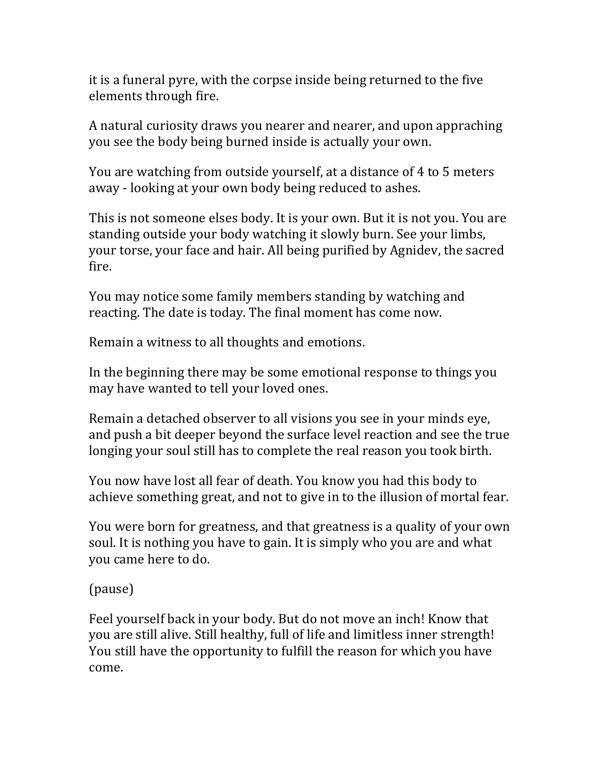it is a funeral pyre, with the corpse inside being returned to the five elements through fire.

A natural curiosity draws you nearer and nearer, and upon appraching you see the body being burned inside is actually your own.

You are watching from outside yourself, at a distance of 4 to 5 meters away - looking at your own body being reduced to ashes.

This is not someone elses body. It is your own. But it is not you. You are standing outside your body watching it slowly burn. See your limbs, your torse, your face and hair. All being purified by Agnidey, the sacred fire.

You may notice some family members standing by watching and reacting. The date is today. The final moment has come now.

Remain a witness to all thoughts and emotions.

In the beginning there may be some emotional response to things you may have wanted to tell your loved ones.

Remain a detached observer to all visions you see in your minds eye, and push a bit deeper beyond the surface level reaction and see the true longing your soul still has to complete the real reason you took birth.

You now have lost all fear of death. You know you had this body to achieve something great, and not to give in to the illusion of mortal fear.

You were born for greatness, and that greatness is a quality of your own soul. It is nothing you have to gain. It is simply who you are and what you came here to do.

(pause)

Feel yourself back in your body. But do not move an inch! Know that you are still alive. Still healthy, full of life and limitless inner strength! You still have the opportunity to fulfill the reason for which you have come.